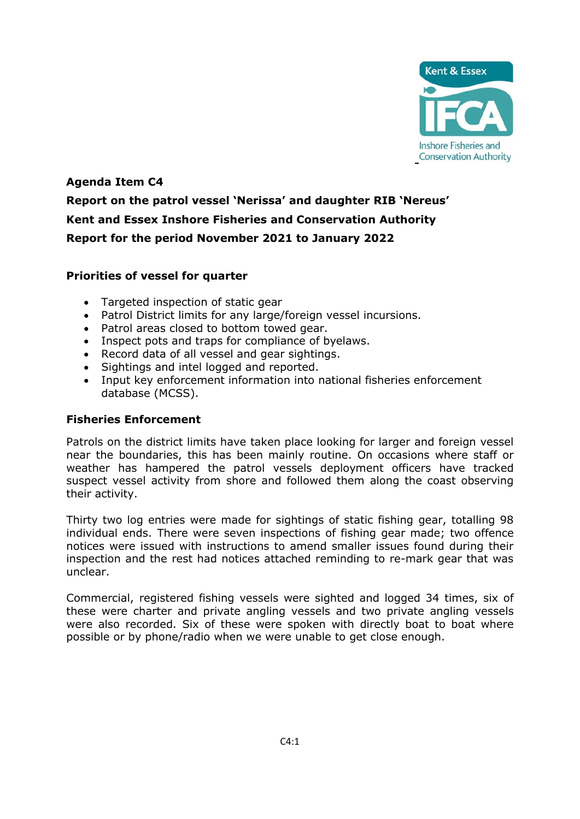

# **Agenda Item C4 Report on the patrol vessel 'Nerissa' and daughter RIB 'Nereus' Kent and Essex Inshore Fisheries and Conservation Authority Report for the period November 2021 to January 2022**

# **Priorities of vessel for quarter**

- Targeted inspection of static gear
- Patrol District limits for any large/foreign vessel incursions.
- Patrol areas closed to bottom towed gear.
- Inspect pots and traps for compliance of byelaws.
- Record data of all vessel and gear sightings.
- Sightings and intel logged and reported.
- Input key enforcement information into national fisheries enforcement database (MCSS).

#### **Fisheries Enforcement**

Patrols on the district limits have taken place looking for larger and foreign vessel near the boundaries, this has been mainly routine. On occasions where staff or weather has hampered the patrol vessels deployment officers have tracked suspect vessel activity from shore and followed them along the coast observing their activity.

Thirty two log entries were made for sightings of static fishing gear, totalling 98 individual ends. There were seven inspections of fishing gear made; two offence notices were issued with instructions to amend smaller issues found during their inspection and the rest had notices attached reminding to re-mark gear that was unclear.

Commercial, registered fishing vessels were sighted and logged 34 times, six of these were charter and private angling vessels and two private angling vessels were also recorded. Six of these were spoken with directly boat to boat where possible or by phone/radio when we were unable to get close enough.